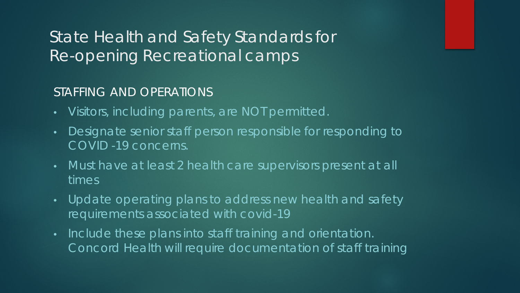#### STAFFING AND OPERATIONS

- Visitors, including parents, are NOT permitted.
- Designate senior staff person responsible for responding to COVID -19 concerns.
- Must have at least 2 health care supervisors present at all times
- Update operating plans to address new health and safety requirements associated with covid-19
- Include these plans into staff training and orientation. Concord Health will require documentation of staff training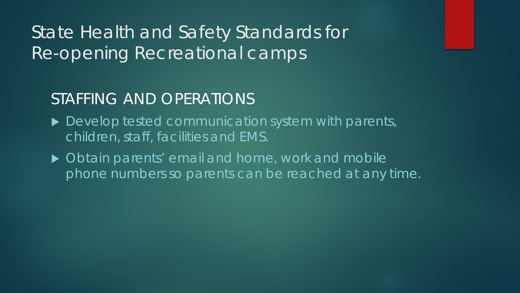### STAFFING AND OPERATIONS

- ▶ Develop tested communication system with parents, children, staff, facilities and EMS.
- ▶ Obtain parents' email and home, work and mobile phone numbers so parents can be reached at any time.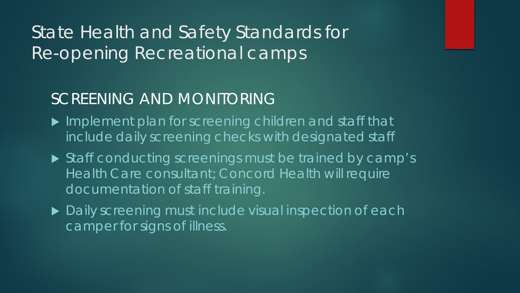## SCREENING AND MONITORING

- ▶ Implement plan for screening children and staff that include daily screening checks with designated staff
- Staff conducting screenings must be trained by camp's Health Care consultant; Concord Health will require documentation of staff training.
- ▶ Daily screening must include visual inspection of each camper for signs of illness.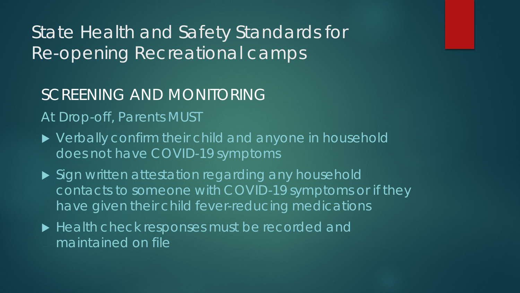### SCREENING AND MONITORING

### At Drop-off, Parents MUST

- ▶ Verbally confirm their child and anyone in household does not have COVID-19 symptoms
- ▶ Sign written attestation regarding any household contacts to someone with COVID-19 symptoms or if they have given their child fever-reducing medications
- Health check responses must be recorded and maintained on file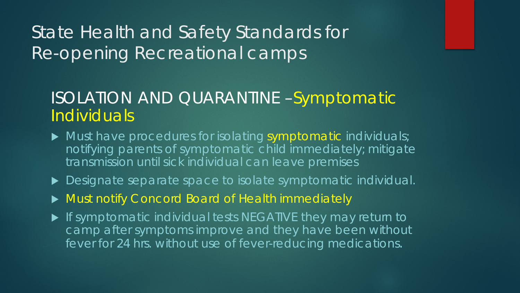### ISOLATION AND QUARANTINE –Symptomatic **Individuals**

- $\blacktriangleright$  Must have procedures for isolating symptomatic individuals; notifying parents of symptomatic child immediately; mitigate transmission until sick individual can leave premises
- ▶ Designate separate space to isolate symptomatic individual.
- Must notify Concord Board of Health immediately
- **If symptomatic individual tests NEGATIVE they may return to** camp after symptoms improve and they have been without fever for 24 hrs. without use of fever-reducing medications.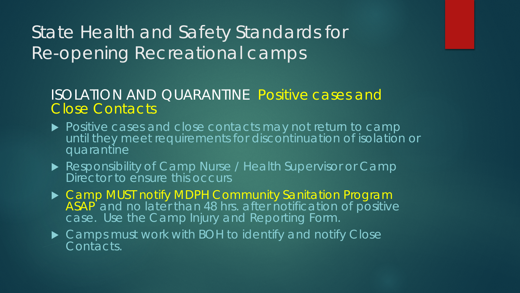#### ISOLATION AND QUARANTINE Positive cases and Close Contacts

- ▶ Positive cases and close contacts may not return to camp until they meet requirements for discontinuation of isolation or quarantine
- Responsibility of Camp Nurse / Health Supervisor or Camp Director to ensure this occurs
- Camp MUST notify MDPH Community Sanitation Program ASAP and no later than 48 hrs. after notification of positive case. Use the Camp Injury and Reporting Form.
- ▶ Camps must work with BOH to identify and notify Close Contacts.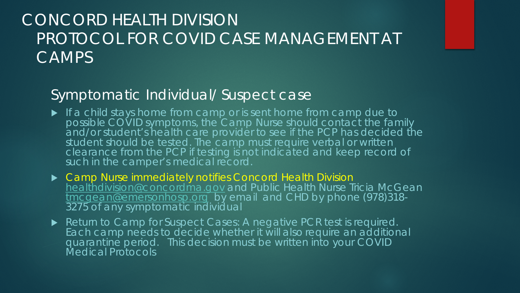### Symptomatic Individual/ Suspect case

- **If a child stays home from camp or is sent home from camp due to** possible COVID symptoms, the Camp Nurse should contact the family and/or student's health care provider to see if the PCP has decided the student should be tested. The camp must require verbal or written clearance from the PCP if testing is not indicated and keep record of such in the camper's medical record.
- Camp Nurse immediately notifies Concord Health Division [healthdivision@concordma.gov](mailto:healthdivision@concordma.gov) and Public Health Nurse Tricia McGean [tmcgean@emersonhosp.org](mailto:tmcgean@emersonhosp.org) by email and CHD by phone (978)318-<br>3275 of any symptomatic individual
- Return to Camp for Suspect Cases: A negative PCR test is required. Each camp needs to decide whether it will also require an additional quarantine period. This decision must be written into your COVID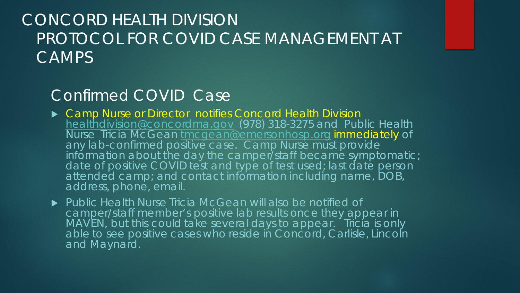### Confirmed COVID Case

- ▶ Camp Nurse or Director notifies Concord Health Division [healthdivision@concordma.gov](mailto:healthdivision@concordma.gov) (978) 318-3275 and Public Health Nurse Tricia McGean [tmcgean@emersonhosp.org](mailto:tmcgean@emersonhosp.org) immediately of any lab-confirmed positive case. Camp Nurse must provide information about the day the camper/staff became symptomatic; date of positive COVID test and type of test used; last date person attended camp; and contact information including name, DOB, address, phone, email.
- ▶ Public Health Nurse Tricia McGean will also be notified of camper/staff member's positive lab results once they appear in MAVEN, but this could take several days to appear. Tricia is only able to see positive cases who reside in Concord, Carlisle, Lincoln and Maynard.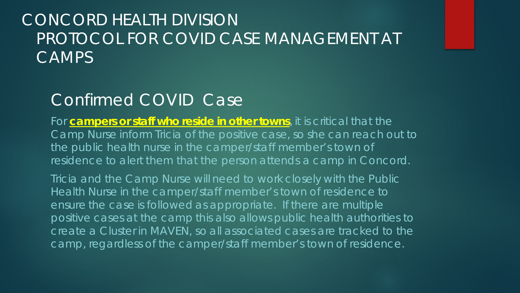## Confirmed COVID Case

For **campers or staff who reside in other towns**, it is critical that the Camp Nurse inform Tricia of the positive case, so she can reach out to the public health nurse in the camper/staff member's town of residence to alert them that the person attends a camp in Concord.

Tricia and the Camp Nurse will need to work closely with the Public Health Nurse in the camper/staff member's town of residence to ensure the case is followed as appropriate. If there are multiple positive cases at the camp this also allows public health authorities to create a Cluster in MAVEN, so all associated cases are tracked to the camp, regardless of the camper/staff member's town of residence.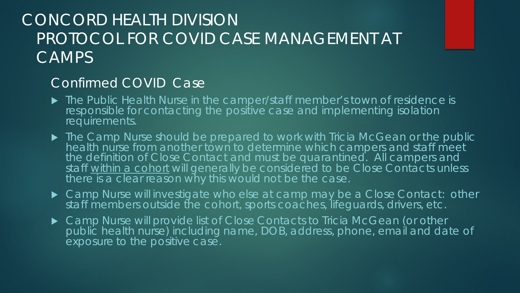#### Confirmed COVID Case

- **The Public Health Nurse in the camper/staff member's town of residence is** responsible for contacting the positive case and implementing isolation requirements.
- ▶ The Camp Nurse should be prepared to work with Tricia McGean or the public health nurse from another town to determine which campers and staff meet the definition of Close Contact and must be quarantined. All campers and staff within a cohort will generally be considered to be Close Contacts unless there is a clear reason why this would not be the case.
- ▶ Camp Nurse will investigate who else at camp may be a Close Contact: other staff members outside the cohort, sports coaches, lifeguards, drivers, etc.
- ▶ Camp Nurse will provide list of Close Contacts to Tricia McGean (or other public health nurse) including name, DOB, address, phone, email and date of exposure to the positive case.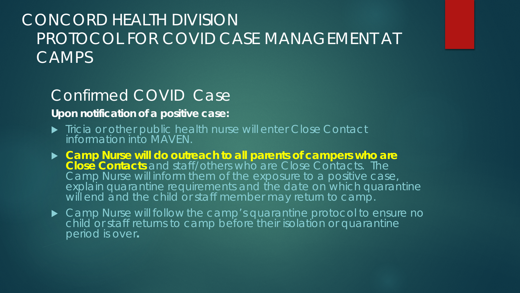### Confirmed COVID Case

#### **Upon notification of a positive case:**

- **Tricia or other public health nurse will enter Close Contact** information into MAVEN.
- **Camp Nurse will do outreach to all parents of campers who are Close Contacts** and staff/others who are Close Contacts. The Camp Nurse will inform them of the exposure to a positive case, explain quarantine requirements and the date on which quarantine will end and the child or staff member may return to camp.
- ▶ Camp Nurse will follow the camp's quarantine protocol to ensure no child or staff returns to camp before their isolation or quarantine period is over**.**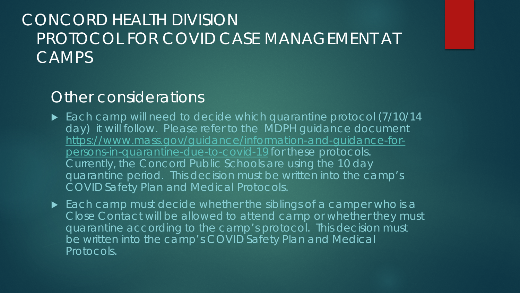### Other considerations

- ► Each camp will need to decide which quarantine protocol (7/10/14 day) it will follow. Please refer to the MDPH guidance document [https://www.mass.gov/guidance/information-and-guidance-for](https://www.mass.gov/guidance/information-and-guidance-for-persons-in-quarantine-due-to-covid-19)persons-in-quarantine-due-to-covid-19 for these protocols. Currently, the Concord Public Schools are using the 10 day quarantine period. This decision must be written into the camp's COVID Safety Plan and Medical Protocols.
- $\blacktriangleright$  Each camp must decide whether the siblings of a camper who is a Close Contact will be allowed to attend camp or whether they must quarantine according to the camp's protocol. This decision must be written into the camp's COVID Safety Plan and Medical Protocols.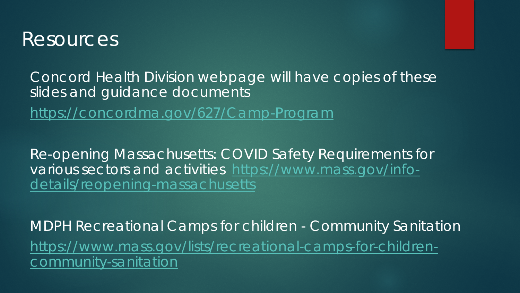

Concord Health Division webpage will have copies of these slides and guidance documents

<https://concordma.gov/627/Camp-Program>

Re-opening Massachusetts: COVID Safety Requirements for [various sectors and activities https://www.mass.gov/info](https://www.mass.gov/info-details/reopening-massachusetts)details/reopening-massachusetts

MDPH Recreational Camps for children - Community Sanitation [https://www.mass.gov/lists/recreational-camps-for-children](https://www.mass.gov/lists/recreational-camps-for-children-community-sanitation)community-sanitation